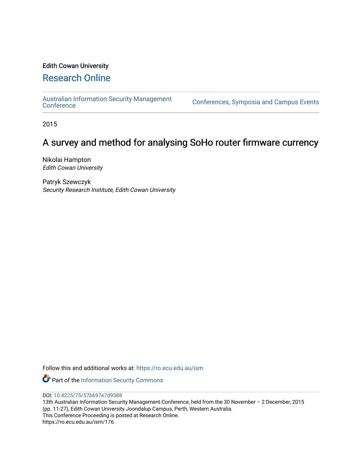## Edith Cowan University

## [Research Online](https://ro.ecu.edu.au/)

[Australian Information Security Management](https://ro.ecu.edu.au/ism) 

[Conference](https://ro.ecu.edu.au/ism)s, Symposia and Campus Events

2015

# A survey and method for analysing SoHo router firmware currency

Nikolai Hampton Edith Cowan University

Patryk Szewczyk Security Research Institute, Edith Cowan University

Follow this and additional works at: [https://ro.ecu.edu.au/ism](https://ro.ecu.edu.au/ism?utm_source=ro.ecu.edu.au%2Fism%2F176&utm_medium=PDF&utm_campaign=PDFCoverPages) 

Part of the [Information Security Commons](http://network.bepress.com/hgg/discipline/1247?utm_source=ro.ecu.edu.au%2Fism%2F176&utm_medium=PDF&utm_campaign=PDFCoverPages) 

DOI: [10.4225/75/57b697e7d9388](https://doi.org/10.4225/75/57b697e7d9388) 

13th Australian Information Security Management Conference, held from the 30 November – 2 December, 2015 (pp. 11-27), Edith Cowan University Joondalup Campus, Perth, Western Australia. This Conference Proceeding is posted at Research Online. https://ro.ecu.edu.au/ism/176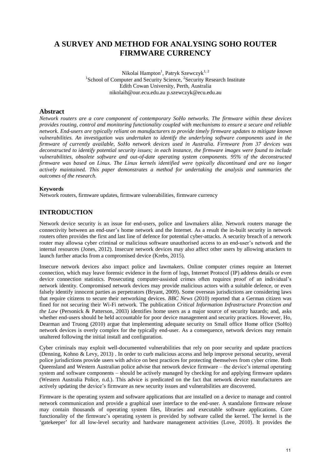## **A SURVEY AND METHOD FOR ANALYSING SOHO ROUTER FIRMWARE CURRENCY**

Nikolai Hampton<sup>1</sup>, Patryk Szewczyk<sup>1, 2</sup> <sup>1</sup>School of Computer and Security Science, <sup>2</sup>Security Research Institute Edith Cowan University, Perth, Australia nikolaih@our.ecu.edu.au p.szewczyk@ecu.edu.au

## **Abstract**

*Network routers are a core component of contemporary SoHo networks. The firmware within these devices provides routing, control and monitoring functionality coupled with mechanisms to ensure a secure and reliable network. End-users are typically reliant on manufacturers to provide timely firmware updates to mitigate known vulnerabilities. An investigation was undertaken to identify the underlying software components used in the firmware of currently available, SoHo network devices used in Australia. Firmware from 37 devices was deconstructed to identify potential security issues; in each instance, the firmware images were found to include vulnerabilities, obsolete software and out-of-date operating system components. 95% of the deconstructed firmware was based on Linux. The Linux kernels identified were typically discontinued and are no longer actively maintained. This paper demonstrates a method for undertaking the analysis and summaries the outcomes of the research.* 

#### **Keywords**

Network routers, firmware updates, firmware vulnerabilities, firmware currency

## **INTRODUCTION**

Network device security is an issue for end-users, police and lawmakers alike. Network routers manage the connectivity between an end-user's home network and the Internet. As a result the in-built security in network routers often provides the first and last line of defence for potential cyber-attacks. A security breach of a network router may allowsa cyber criminal or malicious software unauthorised access to an end-user's network and the internal resources (Jones, 2012). Insecure network devices may also affect other users by allowing attackers to launch further attacks from a compromised device (Krebs, 2015).

Insecure network devices also impact police and lawmakers. Online computer crimes require an Internet connection, which may leave forensic evidence in the form of logs, Internet Protocol (IP) address details or even device connection statistics. Prosecuting computer-assisted crimes often requires proof of an individual's network identity. Compromised network devices may provide malicious actors with a suitable defence, or even falsely identify innocent parties as perpetrators (Bryant, 2009). Some overseas jurisdictions are considering laws that require citizens to secure their networking devices. *BBC News* (2010) reported that a German citizen was fined for not securing their Wi-Fi network. The publication *Critical Information Infrastructure Protection and the Law* (Personick & Patterson, 2003) identifies home users as a major source of security hazards; and, asks whether end-users should be held accountable for poor device management and security practices. However, Ho, Dearman and Truong (2010) argue that implementing adequate security on Small office Home office (SoHo) network devices is overly complex for the typically end-user. As a consequence, network devices may remain unaltered following the initial install and configuration.

Cyber criminals may exploit well-documented vulnerabilities that rely on poor security and update practices (Denning, Kohno & Levy, 2013) . In order to curb malicious access and help improve personal security, several police jurisdictions provide users with advice on best practices for protecting themselves from cyber crime. Both Queensland and Western Australian police advise that network device firmware – the device's internal operating system and software components – should be actively managed by checking for and applying firmware updates (Western Australia Police, n.d.). This advice is predicated on the fact that network device manufacturers are actively updating the device's firmware as new security issues and vulnerabilities are discovered.

Firmware is the operating system and software applications that are installed on a device to manage and control network communication and provide a graphical user interface to the end-user. A standalone firmware release may contain thousands of operating system files, libraries and executable software applications. Core functionality of the firmware's operating system is provided by software called the kernel. The kernel is the 'gatekeeper' for all low-level security and hardware management activities (Love, 2010). It provides the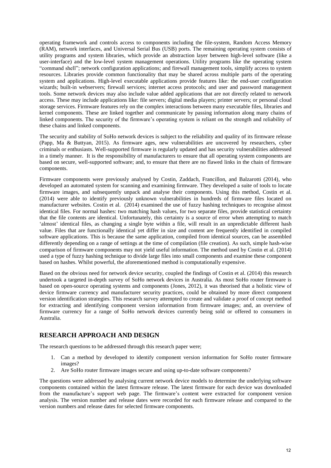operating framework and controls access to components including the file-system, Random Access Memory (RAM), network interfaces, and Universal Serial Bus (USB) ports. The remaining operating system consists of utility programs and system libraries, which provide an abstraction layer between high-level software (like a user-interface) and the low-level system management operations. Utility programs like the operating system "command shell"; network configuration applications; and firewall management tools, simplify access to system resources. Libraries provide common functionality that may be shared across multiple parts of the operating system and applications. High-level executable applications provide features like: the end-user configuration wizards; built-in webservers; firewall services; internet access protocols; and user and password management tools. Some network devices may also include value added applications that are not directly related to network access. These may include applications like: file servers; digital media players; printer servers; or personal cloud storage services. Firmware features rely on the complex interactions between many executable files, libraries and kernel components. These are linked together and communicate by passing information along many chains of linked components. The security of the firmware's operating system is reliant on the strength and reliability of these chains and linked components.

The security and stability of SoHo network devices is subject to the reliability and quality of its firmware release (Papp, Ma & Buttyan, 2015). As firmware ages, new vulnerabilities are uncovered by researchers, cyber criminals or enthusiasts. Well-supported firmware is regularly updated and has security vulnerabilities addressed in a timely manner. It is the responsibility of manufacturers to ensure that all operating system components are based on secure, well-supported software; and, to ensure that there are no flawed links in the chain of firmware components.

Firmware components were previously analysed by Costin, Zaddach, Francillon, and Balzarotti (2014), who developed an automated system for scanning and examining firmware. They developed a suite of tools to locate firmware images, and subsequently unpack and analyse their components. Using this method, Costin et al. (2014) were able to identify previously unknown vulnerabilities in hundreds of firmware files located on manufacturer websites. Costin et al. (2014) examined the use of fuzzy hashing techniques to recognise almost identical files. For normal hashes: two matching hash values, for two separate files, provide statistical certainty that the file contents are identical. Unfortunately, this certainty is a source of error when attempting to match 'almost' identical files, as changing a single byte within a file, will result in an unpredictable different hash value. Files that are functionally identical yet differ in size and content are frequently identified in compiled software applications. This is because the same application, compiled from identical sources, can be assembled differently depending on a range of settings at the time of compilation (file creation). As such, simple hash-wise comparison of firmware components may not yield useful information. The method used by Costin et al. (2014) used a type of fuzzy hashing technique to divide large files into small components and examine these component based on hashes. Whilst powerful, the aforementioned method is computationally expensive.

Based on the obvious need for network device security, coupled the findings of Costin et al. (2014) this research undertook a targeted in-depth survey of SoHo network devices in Australia. As most SoHo router firmware is based on open-source operating systems and components (Jones, 2012), it was theorised that a holistic view of device firmware currency and manufacturer security practices, could be obtained by more direct component version identification strategies. This research survey attempted to create and validate a proof of concept method for extracting and identifying component version information from firmware images; and, an overview of firmware currency for a range of SoHo network devices currently being sold or offered to consumers in Australia.

### **RESEARCH APPROACH AND DESIGN**

The research questions to be addressed through this research paper were;

- 1. Can a method by developed to identify component version information for SoHo router firmware images?
- 2. Are SoHo router firmware images secure and using up-to-date software components?

The questions were addressed by analysing current network device models to determine the underlying software components contained within the latest firmware release. The latest firmware for each device was downloaded from the manufacture's support web page. The firmware's content were extracted for component version analysis. The version number and release dates were recorded for each firmware release and compared to the version numbers and release dates for selected firmware components.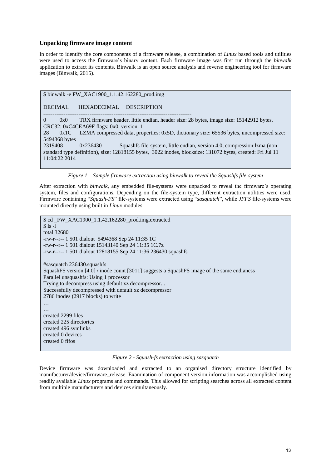#### **Unpacking firmware image content**

In order to identify the core components of a firmware release, a combination of *Linux* based tools and utilities were used to access the firmware's binary content. Each firmware image was first run through the *binwalk* application to extract its contents. Binwalk is an open source analysis and reverse engineering tool for firmware images (Binwalk, 2015).

### \$ binwalk -e FW\_XAC1900\_1.1.42.162280\_prod.img

#### DECIMAL HEXADECIMAL DESCRIPTION

-------------------------------------------------------------------------------- 0 0x0 TRX firmware header, little endian, header size: 28 bytes, image size: 15142912 bytes, CRC32: 0xC4CEA69F flags: 0x0, version: 1 28 0x1C LZMA compressed data, properties: 0x5D, dictionary size: 65536 bytes, uncompressed size: 5494368 bytes 2319408 0x236430 Squashfs file-system, little endian, version 4.0, compression:lzma (nonstandard type definition), size: 12818155 bytes, 3022 inodes, blocksize: 131072 bytes, created: Fri Jul 11 11:04:22 2014

*Figure 1 – Sample firmware extraction using binwalk to reveal the Squashfs file-system* 

After extraction with *binwalk*, any embedded file-systems were unpacked to reveal the firmware's operating system, files and configurations. Depending on the file-system type, different extraction utilities were used. Firmware containing "*Squash-FS*" file-systems were extracted using "*sasquatch*", while *JFFS* file-systems were mounted directly using built in *Linux* modules.

\$ cd \_FW\_XAC1900\_1.1.42.162280\_prod.img.extracted  $$ 1s -1$ total 32680 -rw-r--r-- 1 501 dialout 5494368 Sep 24 11:35 1C -rw-r--r-- 1 501 dialout 15143140 Sep 24 11:35 1C.7z -rw-r--r-- 1 501 dialout 12818155 Sep 24 11:36 236430.squashfs #sasquatch 236430.squashfs SquashFS version [4.0] / inode count [3011] suggests a SquashFS image of the same endianess Parallel unsquashfs: Using 1 processor Trying to decompress using default xz decompressor... Successfully decompressed with default xz decompressor 2786 inodes (2917 blocks) to write … … created 2299 files created 225 directories created 496 symlinks created 0 devices created 0 fifos

*Figure 2 - Squash-fs extraction using sasquatch* 

Device firmware was downloaded and extracted to an organised directory structure identified by manufacturer/device/firmware\_release. Examination of component version information was accomplished using readily available *Linux* programs and commands. This allowed for scripting searches across all extracted content from multiple manufacturers and devices simultaneously.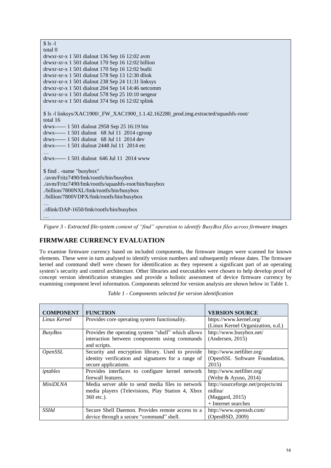| $$1s-1$                                                                                         |
|-------------------------------------------------------------------------------------------------|
| total $\theta$                                                                                  |
| drwxr-xr-x 1 501 dialout 136 Sep 16 12:02 avm                                                   |
| drwxr-xr-x 1 501 dialout 170 Sep 16 12:02 billion                                               |
| drwxr-xr-x 1 501 dialout 170 Sep 16 12:02 budii                                                 |
| drwxr-xr-x 1 501 dialout 578 Sep 13 12:30 dlink                                                 |
| drwxr-xr-x 1 501 dialout 238 Sep 24 11:31 linksys                                               |
| drwxr-xr-x 1 501 dialout 204 Sep 14 14:46 netcomm                                               |
| $d$ rwxr-xr-x 1 501 dialout 578 Sep 25 10:10 netgear                                            |
| drwxr-xr-x 1 501 dialout 374 Sep 16 12:02 tplink                                                |
| \$1s -1 linksys/XAC1900/_FW_XAC1900_1.1.42.162280_prod.img.extracted/squashfs-root/<br>total 16 |
| drwx------ 1 501 dialout 2958 Sep 25 16:19 bin                                                  |
| drwx------ 1 501 dialout 68 Jul 11 2014 cgroup                                                  |
| drwx------ 1 501 dialout 68 Jul 11 2014 dev                                                     |
| drwx------ 1 501 dialout 2448 Jul 11 2014 etc                                                   |
|                                                                                                 |
| drwx------ 1 501 dialout 646 Jul 11 2014 www                                                    |
|                                                                                                 |
| \$ find . - name "busybox"                                                                      |
| ./avm/Fritz7490/fmk/rootfs/bin/busybox                                                          |
| ./avm/Fritz7490/fmk/rootfs/squashfs-root/bin/busybox                                            |
| ./billion/7800NXL/fmk/rootfs/bin/busybox                                                        |
| ./billion/7800VDPX/fmk/rootfs/bin/busybox                                                       |
|                                                                                                 |
| ./dlink/DAP-1650/fmk/rootfs/bin/busybox                                                         |
|                                                                                                 |

*Figure 3 - Extracted file-system content of "find" operation to identify BusyBox files across firmware images* 

## **FIRMWARE CURRENCY EVALUATION**

To examine firmware currency based on included components, the firmware images were scanned for known elements. These were in turn analysed to identify version numbers and subsequently release dates. The firmware kernel and command shell were chosen for identification as they represent a significant part of an operating system's security and control architecture. Other libraries and executables were chosen to help develop proof of concept version identification strategies and provide a holistic assessment of device firmware currency by examining component level information. Components selected for version analysis are shown below in Table 1.

| <b>COMPONENT</b> | <b>FUNCTION</b>                                     | <b>VERSION SOURCE</b>              |
|------------------|-----------------------------------------------------|------------------------------------|
| Linux Kernel     | Provides core operating system functionality.       | https://www.kernel.org/            |
|                  |                                                     | (Linux Kernel Organization, n.d.)  |
| <b>BusyBox</b>   | Provides the operating system "shell" which allows  | http://www.busybox.net/            |
|                  | interaction between components using commands       | (Anderson, 2015)                   |
|                  | and scripts.                                        |                                    |
| <i>OpenSSL</i>   | Security and encryption library. Used to provide    | http://www.netfilter.org/          |
|                  | identity verification and signatures for a range of | (OpenSSL Software Foundation,      |
|                  | secure applications.                                | 2015)                              |
| iptables         | Provides interfaces to configure kernel network     | http://www.netfilter.org/          |
|                  | firewall features.                                  | (Welte $& Ayuso, 2014$ )           |
| <b>MiniDLNA</b>  | Media server able to send media files to network    | http://sourceforge.net/projects/mi |
|                  | media players (Televisions, Play Station 4, Xbox    | nidlna/                            |
|                  | 360 etc.).                                          | (Maggard, 2015)                    |
|                  |                                                     | + Internet searches                |
| <i>SSHd</i>      | Secure Shell Daemon. Provides remote access to a    | http://www.openssh.com/            |
|                  | device through a secure "command" shell.            | (OpenBSD, 2009)                    |

*Table 1 - Components selected for version identification*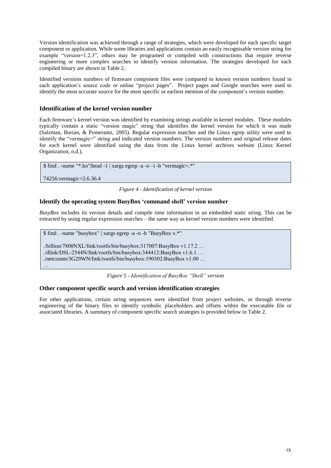Version identification was achieved through a range of strategies, which were developed for each specific target component or application. While some libraries and applications contain an easily recognisable version string for example "version=1.2.3", others may be programed or compiled with constructions that require reverse engineering or more complex searches to identify version information. The strategies developed for each compiled binary are shown in Table 2.

Identified versions numbers of firmware component files were compared to known version numbers found in each application's source code or online "project pages". Project pages and Google searches were used to identify the most accurate source for the most specific or earliest mention of the component's version number.

#### **Identification of the kernel version number**

Each firmware's kernel version was identified by examining strings available in kernel modules. These modules typically contain a static "version magic" string that identifies the kernel version for which it was made (Salzman, Burian, & Pomerantz, 2005). Regular expression matches and the Linux egrep utility were used to identify the "vermagic=" string and indicated version numbers. The version numbers and original release dates for each kernel were identified using the data from the Linux kernel archives website (Linux Kernel Organization, n.d.).

```
$ find . -name "*.ko"|head -1 | xargs egrep -a -o –i -b "vermagic=.*"
```
74256:vermagic=2.6.36.4

*Figure 4 - Identification of kernel version* 

#### **Identify the operating system BusyBox 'command shell' version number**

*BusyBox* includes its version details and compile time information in an embedded static string. This can be extracted by using regular expression searches – the same way as kernel version numbers were identified.

\$ find . -name "busybox" | xargs egrep -a -o -b "BusyBox v.\*"

./billion/7800NXL/fmk/rootfs/bin/busybox:317007:BusyBox v1.17.2 … ./dlink/DSL-2544N/fmk/rootfs/bin/busybox:344412:BusyBox v1.6.1 … ./netcomm/3G29WN/fmk/rootfs/bin/busybox:190302:BusyBox v1.00 … …

*Figure 5 - Identification of BusyBox "Shell" version* 

## **Other component specific search and version identification strategies**

For other applications, certain string sequences were identified from project websites, or through reverse engineering of the binary files to identify symbolic placeholders and offsets within the executable file or associated libraries. A summary of component specific search strategies is provided below in Table 2.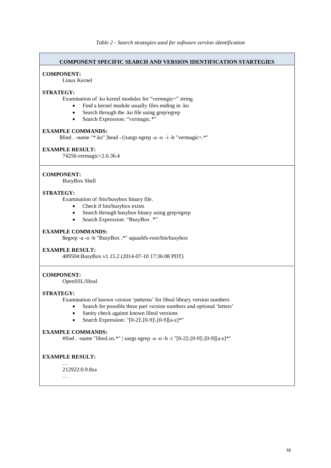#### **COMPONENT SPECIFIC SEARCH AND VERSION IDENTIFICATION STARTEGIES**

#### **COMPONENT:**

Linux Kernel

#### **STRATEGY:**

Examination of .ko kernel modules for "vermagic=" string.

- Find a kernel module usually files ending in .ko
- Search through the .ko file using grep/egrep
- Search Expression: "vermagic.\*"

#### **EXAMPLE COMMANDS:**

\$find . -name "\*.ko" |head -1|xargs egrep -a -o –i -b "vermagic=.\*"

#### **EXAMPLE RESULT:**

74256:vermagic=2.6.36.4

#### **COMPONENT:**

BusyBox Shell

#### **STRATEGY:**

Examination of /bin/busybox binary file.

- Check if bin/busybox exists
- Search through busybox binary using grep/egrep
- Search Expression: "BusyBox .\*"

## **EXAMPLE COMMANDS:**

\$egrep -a -o -b "BusyBox .\*" squashfs-root/bin/busybox

#### **EXAMPLE RESULT:**

489504:BusyBox v1.15.2 (2014-07-10 17:36:08 PDT)

#### **COMPONENT:**

OpenSSL/libssl

#### **STRATEGY:**

Examination of known version 'patterns' for libssl library version numbers

- Search for possible three part version numbers and optional 'letters'
- Sanity check against known libssl versions
- Search Expression: "[0-2]\.[0-9]\.[0-9][a-z]\*"

#### **EXAMPLE COMMANDS:**

#find . -name "libssl.so.\*" | xargs egrep -a -o -b -i "[0-2]\.[0-9]\.[0-9][a-z]\*"

#### **EXAMPLE RESULT:** …

212922:0.9.8za

…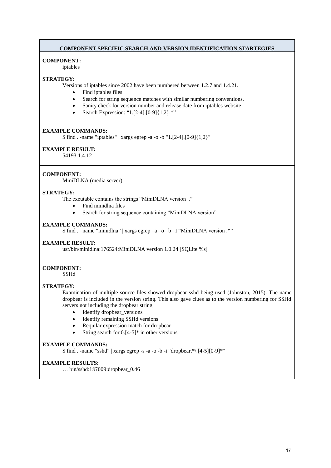#### **COMPONENT SPECIFIC SEARCH AND VERSION IDENTIFICATION STARTEGIES**

#### **COMPONENT:**

iptables

#### **STRATEGY:**

Versions of iptables since 2002 have been numbered between 1.2.7 and 1.4.21.

- Find iptables files
- Search for string sequence matches with similar numbering conventions.
- Sanity check for version number and release date from iptables website
- Search Expression: "1.[2-4].[0-9]{1,2}.\*"

#### **EXAMPLE COMMANDS:**

\$ find . -name "iptables" | xargs egrep -a -o -b "1.[2-4].[0-9]{1,2}"

#### **EXAMPLE RESULT:**

54193:1.4.12

#### **COMPONENT:**

MiniDLNA (media server)

#### **STRATEGY:**

The excutable contains the strings "MiniDLNA version .."

- Find minidlna files
- Search for string sequence containing "MiniDLNA version"

#### **EXAMPLE COMMANDS:**

\$ find . –name "minidlna" | xargs egrep –a –o –b –I "MiniDLNA version .\*"

#### **EXAMPLE RESULT:**

usr/bin/minidlna:176524:MiniDLNA version 1.0.24 [SQLite %s]

#### **COMPONENT:**

SSHd

#### **STRATEGY:**

Examination of multiple source files showed dropbear sshd being used (Johnston, 2015). The name dropbear is included in the version string. This also gave clues as to the version numbering for SSHd servers not including the dropbear string.

- Identify dropbear\_versions
- Identify remaining SSHd versions
- Requilar expression match for dropbear
- String search for 0.[4-5]\* in other versions

#### **EXAMPLE COMMANDS:**

 $$$  find . -name "sshd" | xargs egrep -s -a -o -b -i "dropbear.\*\.[4-5][0-9]\*"

#### **EXAMPLE RESULTS:**

… bin/sshd:187009:dropbear\_0.46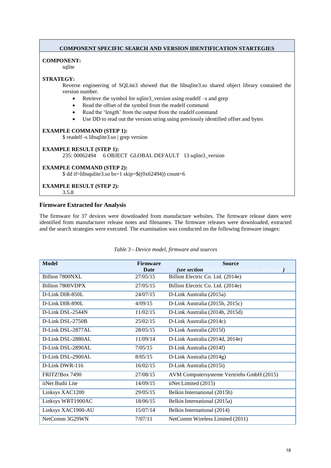#### **COMPONENT SPECIFIC SEARCH AND VERSION IDENTIFICATION STARTEGIES**

#### **COMPONENT:**

sqlite

#### **STRATEGY:**

Reverse engineering of SQLite3 showed that the libsqlite3.so shared object library contained the version number.

- Retrieve the symbol for sqlite3\_version using readelf –s and grep
- Read the offset of the symbol from the readelf command
- Read the 'length' from the output from the readelf command
- Use DD to read out the version string using previously identified offset and bytes

#### **EXAMPLE COMMAND (STEP 1):**

\$ readelf -s libsqlite3.so | grep version

#### **EXAMPLE RESULT (STEP 1):** 235: 00062494 6 OBJECT GLOBAL DEFAULT 13 sqlite3\_version

#### **EXAMPLE COMMAND (STEP 2):**

 $\text{\$}$  dd if=libsqulite3.so bs=1 skip= $\frac{\left(0 \times 62494\right)}{20}$  count=6

## **EXAMPLE RESULT (STEP 2):**

3.5.8

#### **Firmware Extracted for Analysis**

The firmware for 37 devices were downloaded from manufacture websites. The firmware release dates were identified from manufacturer release notes and filenames. The firmware releases were downloaded, extracted and the search strategies were executed. The examination was conducted on the following firmware images:

| <b>Model</b>       | <b>Firmware</b><br><b>Date</b> | <b>Source</b><br>(see section             |
|--------------------|--------------------------------|-------------------------------------------|
|                    |                                | rror! Reference source not found.)        |
| Billion 7800NXL    | 27/05/15                       | Billion Electric Co. Ltd. (2014e)         |
| Billion 7800VDPX   | 27/05/15                       | Billion Electric Co. Ltd. (2014e)         |
| D-Link DIR-850L    | 24/07/15                       | D-Link Australia (2015a)                  |
| D-Link DIR-890L    | 4/09/15                        | D-Link Australia (2015b, 2015c)           |
| D-Link DSL-2544N   | 11/02/15                       | D-Link Australia (2014b, 2015d)           |
| D-Link DSL-2750B   | 25/02/15                       | D-Link Australia (2014c)                  |
| D-Link DSL-2877AL  | 28/05/15                       | D-Link Australia (2015f)                  |
| D-Link DSL-2880AL  | 11/09/14                       | D-Link Australia (2014d, 2014e)           |
| D-Link DSL-2890AL  | 7/05/15                        | D-Link Australia (2014f)                  |
| D-Link DSL-2900AL  | 8/05/15                        | D-Link Australia (2014g)                  |
| D-Link DWR-116     | 16/02/15                       | D-Link Australia (2015i)                  |
| FRITZ!Box 7490     | 27/08/15                       | AVM Computersysteme Vertriebs GmbH (2015) |
| iiNet Budii Lite   | 14/09/15                       | iiNet Limited (2015)                      |
| Linksys XAC1200    | 29/05/15                       | Belkin International (2015b)              |
| Linksys WRT1900AC  | 18/06/15                       | Belkin International (2015a)              |
| Linksys XAC1900-AU | 15/07/14                       | Belkin International (2014)               |
| NetComm 3G29WN     | 7/07/11                        | NetComm Wireless Limited (2011)           |

#### *Table 3 - Device model, firmware and sources*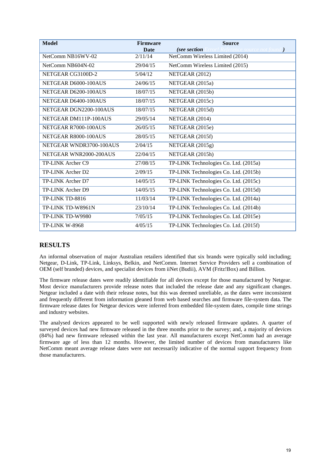| <b>Model</b>            | <b>Firmware</b> | <b>Source</b>                                      |
|-------------------------|-----------------|----------------------------------------------------|
|                         | <b>Date</b>     | (see section<br>rror! Reference source not found.) |
| NetComm NB16WV-02       | 2/11/14         | NetComm Wireless Limited (2014)                    |
| NetComm NB604N-02       | 29/04/15        | NetComm Wireless Limited (2015)                    |
| NETGEAR CG3100D-2       | 5/04/12         | NETGEAR (2012)                                     |
| NETGEAR D6000-100AUS    | 24/06/15        | NETGEAR (2015a)                                    |
| NETGEAR D6200-100AUS    | 18/07/15        | NETGEAR (2015b)                                    |
| NETGEAR D6400-100AUS    | 18/07/15        | NETGEAR (2015c)                                    |
| NETGEAR DGN2200-100AUS  | 18/07/15        | NETGEAR (2015d)                                    |
| NETGEAR DM111P-100AUS   | 29/05/14        | NETGEAR (2014)                                     |
| NETGEAR R7000-100AUS    | 26/05/15        | NETGEAR (2015e)                                    |
| NETGEAR R8000-100AUS    | 28/05/15        | NETGEAR (2015f)                                    |
| NETGEAR WNDR3700-100AUS | 2/04/15         | NETGEAR (2015g)                                    |
| NETGEAR WNR2000-200AUS  | 22/04/15        | NETGEAR (2015h)                                    |
| TP-LINK Archer C9       | 27/08/15        | TP-LINK Technologies Co. Ltd. (2015a)              |
| TP-LINK Archer D2       | 2/09/15         | TP-LINK Technologies Co. Ltd. (2015b)              |
| TP-LINK Archer D7       | 14/05/15        | TP-LINK Technologies Co. Ltd. (2015c)              |
| TP-LINK Archer D9       | 14/05/15        | TP-LINK Technologies Co. Ltd. (2015d)              |
| TP-LINK TD-8816         | 11/03/14        | TP-LINK Technologies Co. Ltd. (2014a)              |
| TP-LINK TD-W8961N       | 23/10/14        | TP-LINK Technologies Co. Ltd. (2014b)              |
| TP-LINK TD-W9980        | 7/05/15         | TP-LINK Technologies Co. Ltd. (2015e)              |
| <b>TP-LINK W-8968</b>   | 4/05/15         | TP-LINK Technologies Co. Ltd. (2015f)              |

## **RESULTS**

An informal observation of major Australian retailers identified that six brands were typically sold including; Netgear, D-Link, TP-Link, Linksys, Belkin, and NetComm. Internet Service Providers sell a combination of OEM (self branded) devices, and specialist devices from iiNet (Budii), AVM (Fritz!Box) and Billion.

The firmware release dates were readily identifiable for all devices except for those manufactured by Netgear. Most device manufacturers provide release notes that included the release date and any significant changes. Netgear included a date with their release notes, but this was deemed unreliable, as the dates were inconsistent and frequently different from information gleaned from web based searches and firmware file-system data. The firmware release dates for Netgear devices were inferred from embedded file-system dates, compile time strings and industry websites.

The analysed devices appeared to be well supported with newly released firmware updates. A quarter of surveyed devices had new firmware released in the three months prior to the survey; and, a majority of devices (84%) had new firmware released within the last year. All manufacturers except NetComm had an average firmware age of less than 12 months. However, the limited number of devices from manufacturers like NetComm meant average release dates were not necessarily indicative of the normal support frequency from those manufacturers.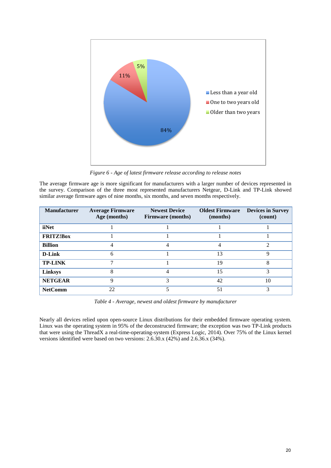

*Figure 6 - Age of latest firmware release according to release notes* 

The average firmware age is more significant for manufacturers with a larger number of devices represented in the survey. Comparison of the three most represented manufacturers Netgear, D-Link and TP-Link showed similar average firmware ages of nine months, six months, and seven months respectively.

| <b>Manufacturer</b> | <b>Average Firmware</b><br>Age (months) | <b>Newest Device</b><br><b>Firmware</b> (months) | <b>Oldest Firmware</b><br>(months) | <b>Devices in Survey</b><br>(count) |
|---------------------|-----------------------------------------|--------------------------------------------------|------------------------------------|-------------------------------------|
| iiNet               |                                         |                                                  |                                    |                                     |
| <b>FRITZ!Box</b>    |                                         |                                                  |                                    |                                     |
| <b>Billion</b>      | 4                                       | 4                                                |                                    | $\mathcal{D}$                       |
| D-Link              | 6                                       |                                                  | 13                                 | Q                                   |
| <b>TP-LINK</b>      |                                         |                                                  | 19                                 | 8                                   |
| <b>Linksys</b>      | 8                                       |                                                  | 15                                 | 3                                   |
| <b>NETGEAR</b>      | Q                                       | 3                                                | 42                                 | 10                                  |
| <b>NetComm</b>      | 22                                      |                                                  | 51                                 | 3                                   |

*Table 4 - Average, newest and oldest firmware by manufacturer* 

Nearly all devices relied upon open-source Linux distributions for their embedded firmware operating system. Linux was the operating system in 95% of the deconstructed firmware; the exception was two TP-Link products that were using the ThreadX a real-time-operating-system (Express Logic, 2014). Over 75% of the Linux kernel versions identified were based on two versions: 2.6.30.x (42%) and 2.6.36.x (34%).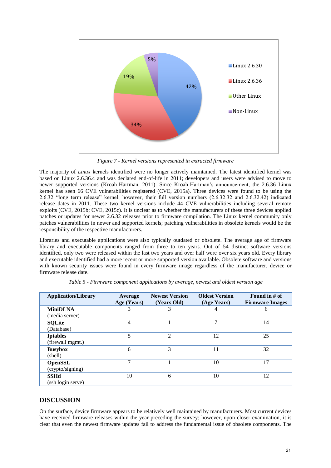

*Figure 7 - Kernel versions represented in extracted firmware* 

The majority of *Linux* kernels identified were no longer actively maintained. The latest identified kernel was based on Linux 2.6.36.4 and was declared end-of-life in 2011; developers and users were advised to move to newer supported versions (Kroah-Hartman, 2011). Since Kroah-Hartman's announcement, the 2.6.36 Linux kernel has seen 66 CVE vulnerabilities registered (CVE, 2015a). Three devices were found to be using the 2.6.32 "long term release" kernel; however, their full version numbers (2.6.32.32 and 2.6.32.42) indicated release dates in 2011. These two kernel versions include 44 CVE vulnerabilities including several remote exploits (CVE, 2015b; CVE, 2015c). It is unclear as to whether the manufacturers of these three devices applied patches or updates for newer 2.6.32 releases prior to firmware compilation. The Linux kernel community only patches vulnerabilities in newer and supported kernels; patching vulnerabilities in obsolete kernels would be the responsibility of the respective manufacturers.

Libraries and executable applications were also typically outdated or obsolete. The average age of firmware library and executable components ranged from three to ten years. Out of 54 distinct software versions identified, only two were released within the last two years and over half were over six years old. Every library and executable identified had a more recent or more supported version available. Obsolete software and versions with known security issues were found in every firmware image regardless of the manufacturer, device or firmware release date.

| <b>Application/Library</b>          | Average<br>Age (Years) | <b>Newest Version</b><br>(Years Old) | <b>Oldest Version</b><br>(Age Years) | Found in # of<br><b>Firmware Images</b> |
|-------------------------------------|------------------------|--------------------------------------|--------------------------------------|-----------------------------------------|
| <b>MiniDLNA</b>                     | 3                      | 3                                    | 4                                    | 6                                       |
| (media server)                      |                        |                                      | 7                                    |                                         |
| <b>SQLite</b><br>(Database)         | 4                      |                                      |                                      | 14                                      |
| <b>Iptables</b><br>(firewall mgmt.) | 5                      | $\overline{2}$                       | 12                                   | 25                                      |
| <b>Busybox</b><br>(shell)           | 6                      | 3                                    | 11                                   | 32                                      |
| <b>OpenSSL</b><br>(crypto/signing)  | ⇁                      |                                      | 10                                   | 17                                      |
| <b>SSHd</b><br>(ssh login serve)    | 10                     | 6                                    | 10                                   | 12                                      |

*Table 5 - Firmware component applications by average, newest and oldest version age*

## **DISCUSSION**

On the surface, device firmware appears to be relatively well maintained by manufacturers. Most current devices have received firmware releases within the year preceding the survey; however, upon closer examination, it is clear that even the newest firmware updates fail to address the fundamental issue of obsolete components. The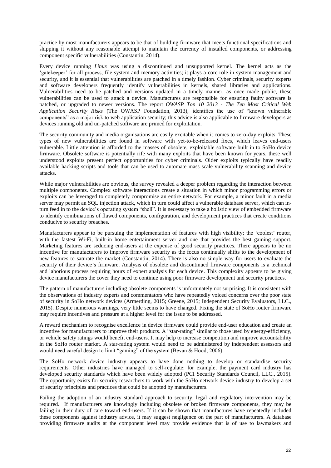practice by most manufacturers appears to be that of building firmware that meets functional specifications and shipping it without any reasonable attempt to maintain the currency of installed components, or addressing component specific vulnerabilities (Constantin, 2014).

Every device running *Linux* was using a discontinued and unsupported kernel. The kernel acts as the 'gatekeeper' for all process, file-system and memory activities; it plays a core role in system management and security, and it is essential that vulnerabilities are patched in a timely fashion. Cyber criminals, security experts and software developers frequently identify vulnerabilities in kernels, shared libraries and applications. Vulnerabilities need to be patched and versions updated in a timely manner, as once made public, these vulnerabilities can be used to attack a device. Manufactures are responsible for ensuring faulty software is patched, or upgraded to newer versions. The report *OWASP Top 10 2013 - The Ten Most Critical Web Application Security Risks* (The OWASP Foundation, 2013), identifies the use of "known vulnerable components" as a major risk to web application security; this advice is also applicable to firmware developers as devices running old and un-patched software are primed for exploitation.

The security community and media organisations are easily excitable when it comes to zero-day exploits. These types of new vulnerabilities are found in software with yet-to-be-released fixes, which leaves end-users vulnerable. Little attention is afforded to the masses of obsolete, exploitable software built in to SoHo device firmware. Obsolete software is potentially rife with many exploits that have been known for years, these well understood exploits present perfect opportunities for cyber criminals. Older exploits typically have readily available hacking scripts and tools that can be used to automate mass scale vulnerability scanning and device attacks.

While major vulnerabilities are obvious, the survey revealed a deeper problem regarding the interaction between multiple components. Complex software interactions create a situation in which minor programming errors or exploits can be leveraged to completely compromise an entire network. For example, a minor fault in a media server may permit an SQL injection attack, which in turn could affect a vulnerable database server, which can inturn feed in to the device's operating system "shell". It is necessary to take a holistic view of embedded firmware to identify combinations of flawed components, configuration, and development practices that create conditions conducive to security breaches.

Manufacturers appear to be pursuing the implementation of features with high visibility; the 'coolest' router, with the fastest Wi-Fi, built-in home entertainment server and one that provides the best gaming support. Marketing features are seducing end-users at the expense of good security practices. There appears to be no incentive for manufacturers to improve firmware security as the focus continually shifts to the development of new features to saturate the market (Constantin, 2014). There is also no simple way for users to evaluate the security of their device's firmware. Analysis of obsolete and discontinued firmware components is a technical and laborious process requiring hours of expert analysis for each device. This complexity appears to be giving device manufacturers the cover they need to continue using poor firmware development and security practices.

The pattern of manufacturers including obsolete components is unfortunately not surprising. It is consistent with the observations of industry experts and commentators who have repeatedly voiced concerns over the poor state of security in SoHo network devices (Armerding, 2015; Greene, 2015; Independent Security Evaluators, LLC., 2015). Despite numerous warnings, very little seems to have changed. Fixing the state of SoHo router firmware may require incentives and pressure at a higher level for the issue to be addressed.

A reward mechanism to recognise excellence in device firmware could provide end-user education and create an incentive for manufacturers to improve their products. A "star-rating" similar to those used by energy-efficiency, or vehicle safety ratings would benefit end-users. It may help to increase competition and improve accountability in the SoHo router market. A star-rating system would need to be administered by independent assessors and would need careful design to limit "gaming" of the system (Bevan & Hood, 2006).

The SoHo network device industry appears to have done nothing to develop or standardise security requirements. Other industries have managed to self-regulate; for example, the payment card industry has developed security standards which have been widely adopted (PCI Security Standards Council, LLC., 2015). The opportunity exists for security researchers to work with the SoHo network device industry to develop a set of security principles and practices that could be adopted by manufacturers.

Failing the adoption of an industry standard approach to security, legal and regulatory intervention may be required. If manufacturers are knowingly including obsolete or broken firmware components, they may be failing in their duty of care toward end-users. If it can be shown that manufactures have repeatedly included these components against industry advice, it may suggest negligence on the part of manufacturers. A database providing firmware audits at the component level may provide evidence that is of use to lawmakers and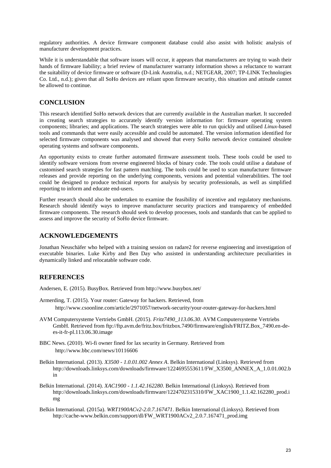regulatory authorities. A device firmware component database could also assist with holistic analysis of manufacturer development practices.

While it is understandable that software issues will occur, it appears that manufacturers are trying to wash their hands of firmware liability; a brief review of manufacturer warranty information shows a reluctance to warrant the suitability of device firmware or software (D-Link Australia, n.d.; NETGEAR, 2007; TP-LINK Technologies Co. Ltd., n.d.); given that all SoHo devices are reliant upon firmware security, this situation and attitude cannot be allowed to continue.

## **CONCLUSION**

This research identified SoHo network devices that are currently available in the Australian market. It succeeded in creating search strategies to accurately identify version information for: firmware operating system components; libraries; and applications. The search strategies were able to run quickly and utilised *Linux*-based tools and commands that were easily accessible and could be automated. The version information identified for selected firmware components was analysed and showed that every SoHo network device contained obsolete operating systems and software components.

An opportunity exists to create further automated firmware assessment tools. These tools could be used to identify software versions from reverse engineered blocks of binary code. The tools could utilise a database of customised search strategies for fast pattern matching. The tools could be used to scan manufacturer firmware releases and provide reporting on the underlying components, versions and potential vulnerabilities. The tool could be designed to produce technical reports for analysis by security professionals, as well as simplified reporting to inform and educate end-users.

Further research should also be undertaken to examine the feasibility of incentive and regulatory mechanisms. Research should identify ways to improve manufacturer security practices and transparency of embedded firmware components. The research should seek to develop processes, tools and standards that can be applied to assess and improve the security of SoHo device firmware.

### **ACKNOWLEDGEMENTS**

Jonathan Neuschäfer who helped with a training session on radare2 for reverse engineering and investigation of executable binaries. Luke Kirby and Ben Day who assisted in understanding architecture peculiarities in dynamically linked and relocatable software code.

## **REFERENCES**

Andersen, E. (2015). BusyBox. Retrieved from http://www.busybox.net/

- Armerding, T. (2015). Your router: Gateway for hackers. Retrieved, from http://www.csoonline.com/article/2971057/network-security/your-router-gateway-for-hackers.html
- AVM Computersysteme Vertriebs GmbH. (2015). *Fritz7490\_113.06.30*. AVM Computersysteme Vertriebs GmbH. Retrieved from ftp://ftp.avm.de/fritz.box/fritzbox.7490/firmware/english/FRITZ.Box\_7490.en-dees-it-fr-pl.113.06.30.image
- BBC News. (2010). Wi-fi owner fined for lax security in Germany. Retrieved from http://www.bbc.com/news/10116606
- Belkin International. (2013). *X3500 1.0.01.002 Annex A*. Belkin International (Linksys). Retrieved from http://downloads.linksys.com/downloads/firmware/1224695553611/FW\_X3500\_ANNEX\_A\_1.0.01.002.b in
- Belkin International. (2014). *XAC1900 1.1.42.162280*. Belkin International (Linksys). Retrieved from http://downloads.linksys.com/downloads/firmware/1224702315310/FW\_XAC1900\_1.1.42.162280\_prod.i mg
- Belkin International. (2015a). *WRT1900ACv2-2.0.7.167471*. Belkin International (Linksys). Retrieved from http://cache-www.belkin.com/support/dl/FW\_WRT1900ACv2\_2.0.7.167471\_prod.img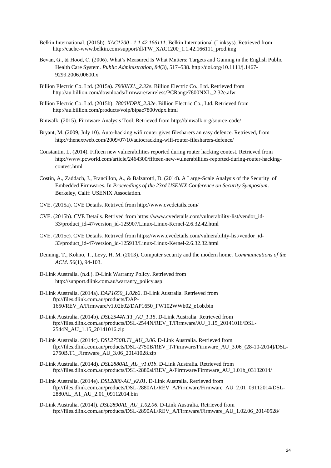- Belkin International. (2015b). *XAC1200 1.1.42.166111*. Belkin International (Linksys). Retrieved from http://cache-www.belkin.com/support/dl/FW\_XAC1200\_1.1.42.166111\_prod.img
- Bevan, G., & Hood, C. (2006). What's Measured Is What Matters: Targets and Gaming in the English Public Health Care System. *Public Administration*, *84*(3), 517–538. http://doi.org/10.1111/j.1467- 9299.2006.00600.x
- Billion Electric Co. Ltd. (2015a). *7800NXL\_2.32e*. Billion Electric Co., Ltd. Retrieved from http://au.billion.com/downloads/firmware/wireless/PCRange7800NXL\_2.32e.afw
- Billion Electric Co. Ltd. (2015b). *7800VDPX\_2.32e*. Billion Electric Co., Ltd. Retrieved from http://au.billion.com/products/voip/bipac7800vdpx.html
- Binwalk. (2015). Firmware Analysis Tool. Retrieved from http://binwalk.org/source-code/
- Bryant, M. (2009, July 10). Auto-hacking wifi router gives filesharers an easy defence. Retrieved, from http://thenextweb.com/2009/07/10/autocracking-wifi-router-filesharers-defence/
- Constantin, L. (2014). Fifteen new vulnerabilities reported during router hacking contest. Retrieved from http://www.pcworld.com/article/2464300/fifteen-new-vulnerabilities-reported-during-router-hackingcontest.html
- Costin, A., Zaddach, J., Francillon, A., & Balzarotti, D. (2014). A Large-Scale Analysis of the Security of Embedded Firmwares. In *Proceedings of the 23rd USENIX Conference on Security Symposium*. Berkeley, Calif: USENIX Association.
- CVE. (2015a). CVE Details. Retrived from http://www.cvedetails.com/
- CVE. (2015b). CVE Details. Retrived from https://www.cvedetails.com/vulnerability-list/vendor\_id-33/product\_id-47/version\_id-125907/Linux-Linux-Kernel-2.6.32.42.html
- CVE. (2015c). CVE Details. Retrived from https://www.cvedetails.com/vulnerability-list/vendor\_id-33/product\_id-47/version\_id-125913/Linux-Linux-Kernel-2.6.32.32.html
- Denning, T., Kohno, T., Levy, H. M. (2013). Computer security and the modern home. *Communications of the ACM*. *56*(1), 94-103.
- D-Link Australia. (n.d.). D-Link Warranty Policy. Retrieved from http://support.dlink.com.au/warranty\_policy.asp
- D-Link Australia. (2014a). *DAP1650\_1.02b2*. D-Link Australia. Retrieved from ftp://files.dlink.com.au/products/DAP-1650/REV\_A/Firmware/v1.02b02/DAP1650\_FW102WWb02\_e1ob.bin
- D-Link Australia. (2014b). *DSL2544N.T1\_AU\_1.15*. D-Link Australia. Retrieved from ftp://files.dlink.com.au/products/DSL-2544N/REV\_T/Firmware/AU\_1.15\_20141016/DSL-2544N\_AU\_1.15\_20141016.zip
- D-Link Australia. (2014c). *DSL2750B.T1\_AU\_3.06*. D-Link Australia. Retrieved from ftp://files.dlink.com.au/products/DSL-2750B/REV\_T/Firmware/Firmware\_AU\_3.06\_(28-10-2014)/DSL-2750B.T1\_Firmware\_AU\_3.06\_20141028.zip
- D-Link Australia. (2014d). *DSL2880AL\_AU\_v1.01b*. D-Link Australia. Retrieved from ftp://files.dlink.com.au/products/DSL-2880al/REV\_A/Firmware/Firmware\_AU\_1.01b\_03132014/
- D-Link Australia. (2014e). *DSL2880-AU\_v2.01*. D-Link Australia. Retrieved from ftp://files.dlink.com.au/products/DSL-2880AL/REV\_A/Firmware/Firmware\_AU\_2.01\_09112014/DSL-2880AL\_A1\_AU\_2.01\_09112014.bin
- D-Link Australia. (2014f). *DSL2890AL\_AU\_1.02.06*. D-Link Australia. Retrieved from ftp://files.dlink.com.au/products/DSL-2890AL/REV\_A/Firmware/Firmware\_AU\_1.02.06\_20140528/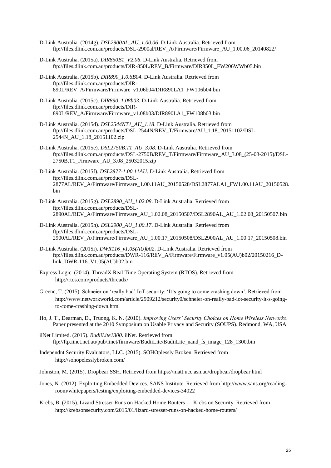- D-Link Australia. (2014g). *DSL2900AL\_AU\_1.00.06*. D-Link Australia. Retrieved from ftp://files.dlink.com.au/products/DSL-2900al/REV\_A/Firmware/Firmware\_AU\_1.00.06\_20140822/
- D-Link Australia. (2015a). *DIR850B1\_V2.06*. D-Link Australia. Retrieved from ftp://files.dlink.com.au/products/DIR-850L/REV\_B/Firmware/DIR850L\_FW206WWb05.bin
- D-Link Australia. (2015b). *DIR890\_1.0.6B04*. D-Link Australia. Retrieved from ftp://files.dlink.com.au/products/DIR-890L/REV\_A/Firmware/Firmware\_v1.06b04/DIR890LA1\_FW106b04.bin
- D-Link Australia. (2015c). *DIR890\_1.08b03*. D-Link Australia. Retrieved from ftp://files.dlink.com.au/products/DIR-890L/REV\_A/Firmware/Firmware\_v1.08b03/DIR890LA1\_FW108b03.bin
- D-Link Australia. (2015d). *DSL2544NT1\_AU\_1.18*. D-Link Australia. Retrieved from ftp://files.dlink.com.au/products/DSL-2544N/REV\_T/Firmware/AU\_1.18\_20151102/DSL-2544N\_AU\_1.18\_20151102.zip
- D-Link Australia. (2015e). *DSL2750B.T1\_AU\_3.08*. D-Link Australia. Retrieved from ftp://files.dlink.com.au/products/DSL-2750B/REV\_T/Firmware/Firmware\_AU\_3.08\_(25-03-2015)/DSL-2750B.T1\_Firmware\_AU\_3.08\_25032015.zip
- D-Link Australia. (2015f). *DSL2877-1.00.11AU*. D-Link Australia. Retrieved from ftp://files.dlink.com.au/products/DSL-2877AL/REV\_A/Firmware/Firmware\_1.00.11AU\_20150528/DSL2877ALA1\_FW1.00.11AU\_20150528. bin
- D-Link Australia. (2015g). *DSL2890\_AU\_1.02.08*. D-Link Australia. Retrieved from ftp://files.dlink.com.au/products/DSL-2890AL/REV\_A/Firmware/Firmware\_AU\_1.02.08\_20150507/DSL2890AL\_AU\_1.02.08\_20150507.bin
- D-Link Australia. (2015h). *DSL2900\_AU\_1.00.17*. D-Link Australia. Retrieved from ftp://files.dlink.com.au/products/DSL-2900AL/REV\_A/Firmware/Firmware\_AU\_1.00.17\_20150508/DSL2900AL\_AU\_1.00.17\_20150508.bin
- D-Link Australia. (2015i). *DWR116\_v1.05(AU)b02*. D-Link Australia. Retrieved from ftp://files.dlink.com.au/products/DWR-116/REV\_A/Firmware/Firmware\_v1.05(AU)b02/20150216\_Dlink\_DWR-116\_V1.05(AU)b02.bin
- Express Logic. (2014). ThreadX Real Time Operating System (RTOS). Retrieved from http://rtos.com/products/threadx/
- Greene, T. (2015). Schneier on 'really bad' IoT security: 'It's going to come crashing down'. Retrieved from http://www.networkworld.com/article/2909212/security0/schneier-on-really-bad-iot-security-it-s-goingto-come-crashing-down.html
- Ho, J. T., Dearman, D., Truong, K. N. (2010). *Improving Users' Security Choices on Home Wireless Networks*. Paper presented at the 2010 Symposium on Usable Privacy and Security (SOUPS). Redmond, WA, USA.
- iiNet Limited. (2015). *BudiiLite1300*. iiNet. Retrieved from ftp://ftp.iinet.net.au/pub/iinet/firmware/BudiiLite/BudiiLite\_nand\_fs\_image\_128\_1300.bin
- Independnt Security Evaluators, LLC. (2015). SOHOplessly Broken. Retrieved from http://sohopelesslybroken.com/
- Johnston, M. (2015). Dropbear SSH. Retrieved from https://matt.ucc.asn.au/dropbear/dropbear.html
- Jones, N. (2012). Exploiting Embedded Devices. SANS Institute. Retrieved from http://www.sans.org/readingroom/whitepapers/testing/exploiting-embedded-devices-34022
- Krebs, B. (2015). Lizard Stresser Runs on Hacked Home Routers Krebs on Security. Retrieved from http://krebsonsecurity.com/2015/01/lizard-stresser-runs-on-hacked-home-routers/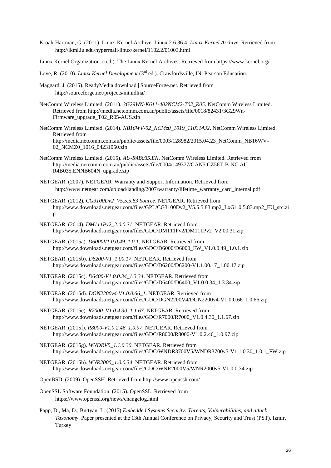- Kroah-Hartman, G. (2011). Linux-Kernel Archive: Linux 2.6.36.4. *Linux-Kernel Archive*. Retrieved from http://lkml.iu.edu/hypermail/linux/kernel/1102.2/01003.html
- Linux Kernel Organization. (n.d.). The Linux Kernel Archives. Retrieved from https://www.kernel.org/
- Love, R. (2010). *Linux Kernel Development* (3<sup>rd</sup> ed.). Crawfordsville, IN: Pearson Education.
- Maggard, J. (2015). ReadyMedia download | SourceForge.net. Retrieved from http://sourceforge.net/projects/minidlna/
- NetComm Wireless Limited. (2011). *3G29WN-K611-402NCM2-T02\_R05*. NetComm Wireless Limited. Retrieved from http://media.netcomm.com.au/public/assets/file/0018/82431/3G29Wn-Firmware\_upgrade\_T02\_R05-AUS.zip
- NetComm Wireless Limited. (2014). *NB16WV-02\_NCMz0\_1019\_11031432*. NetComm Wireless Limited. Retrieved from http://media.netcomm.com.au/public/assets/file/0003/128982/2015.04.23\_NetComm\_NB16WV-02\_NCMZ0\_1016\_04231050.zip
- NetComm Wireless Limited. (2015). *AU-R4B035.EN*. NetComm Wireless Limited. Retrieved from http://media.netcomm.com.au/public/assets/file/0004/149377/GAN5.CZ56T-B-NC.AU-R4B035.ENNB604N\_upgrade.zip
- NETGEAR. (2007). NETGEAR Warranty and Support Information. Retrieved from http://www.netgear.com/upload/landing/2007/warranty/lifetime\_warranty\_card\_internal.pdf
- NETGEAR. (2012). *CG3100Dv2\_V5.5.5.83 Source*. NETGEAR. Retrieved from http://www.downloads.netgear.com/files/GPL/CG3100Dv2\_V5.5.5.83.mp2\_LxG1.0.5.83.mp2\_EU\_src.zi p
- NETGEAR. (2014). *DM111Pv2\_2.0.0.31*. NETGEAR. Retrieved from http://www.downloads.netgear.com/files/GDC/DM111Pv2/DM111Pv2\_V2.00.31.zip
- NETGEAR. (2015a). *D6000V1.0.0.49\_1.0.1*. NETGEAR. Retrieved from http://www.downloads.netgear.com/files/GDC/D6000/D6000\_FW\_V1.0.0.49\_1.0.1.zip
- NETGEAR. (2015b). *D6200-V1\_1.00.17*. NETGEAR. Retrieved from http://www.downloads.netgear.com/files/GDC/D6200/D6200-V1.1.00.17\_1.00.17.zip
- NETGEAR. (2015c). *D6400-V1.0.0.34\_1.3.34*. NETGEAR. Retrieved from http://www.downloads.netgear.com/files/GDC/D6400/D6400\_V1.0.0.34\_1.3.34.zip
- NETGEAR. (2015d). *DGN2200v4-V1.0.0.66\_1*. NETGEAR. Retrieved from http://www.downloads.netgear.com/files/GDC/DGN2200V4/DGN2200v4-V1.0.0.66\_1.0.66.zip
- NETGEAR. (2015e). *R7000\_V1.0.4.30\_1.1.67*. NETGEAR. Retrieved from http://www.downloads.netgear.com/files/GDC/R7000/R7000\_V1.0.4.30\_1.1.67.zip
- NETGEAR. (2015f). *R8000-V1.0.2.46\_1.0.97*. NETGEAR. Retrieved from http://www.downloads.netgear.com/files/GDC/R8000/R8000-V1.0.2.46\_1.0.97.zip
- NETGEAR. (2015g). *WNDRV5\_1.1.0.30*. NETGEAR. Retrieved from http://www.downloads.netgear.com/files/GDC/WNDR3700V5/WNDR3700v5-V1.1.0.30\_1.0.1\_FW.zip
- NETGEAR. (2015h). *WNR2000\_1.0.0.34*. NETGEAR. Retrieved from http://www.downloads.netgear.com/files/GDC/WNR2000V5/WNR2000v5-V1.0.0.34.zip
- OpenBSD. (2009). OpenSSH. Retrieved from http://www.openssh.com/
- OpenSSL Software Foundation. (2015). OpenSSL. Retrieved from https://www.openssl.org/news/changelog.html
- Papp, D., Ma, D., Buttyan, L. (2015) *Embedded Systems Security: Threats, Vulnerabilities, and attack Taxonomy*. Paper presented at the 13th Annual Conference on Privacy, Security and Trust (PST). Izmir, **Turkey**